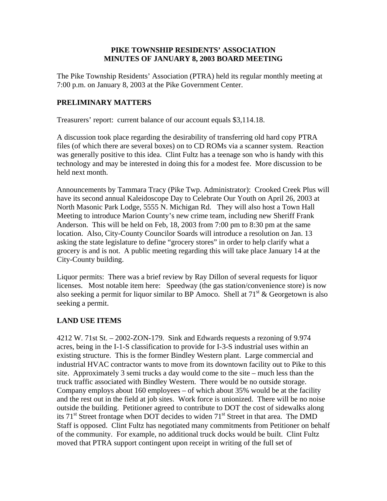## **PIKE TOWNSHIP RESIDENTS' ASSOCIATION MINUTES OF JANUARY 8, 2003 BOARD MEETING**

The Pike Township Residents' Association (PTRA) held its regular monthly meeting at 7:00 p.m. on January 8, 2003 at the Pike Government Center.

## **PRELIMINARY MATTERS**

Treasurers' report: current balance of our account equals \$3,114.18.

A discussion took place regarding the desirability of transferring old hard copy PTRA files (of which there are several boxes) on to CD ROMs via a scanner system. Reaction was generally positive to this idea. Clint Fultz has a teenage son who is handy with this technology and may be interested in doing this for a modest fee. More discussion to be held next month.

Announcements by Tammara Tracy (Pike Twp. Administrator): Crooked Creek Plus will have its second annual Kaleidoscope Day to Celebrate Our Youth on April 26, 2003 at North Masonic Park Lodge, 5555 N. Michigan Rd. They will also host a Town Hall Meeting to introduce Marion County's new crime team, including new Sheriff Frank Anderson. This will be held on Feb, 18, 2003 from 7:00 pm to 8:30 pm at the same location. Also, City-County Councilor Soards will introduce a resolution on Jan. 13 asking the state legislature to define "grocery stores" in order to help clarify what a grocery is and is not. A public meeting regarding this will take place January 14 at the City-County building.

Liquor permits: There was a brief review by Ray Dillon of several requests for liquor licenses. Most notable item here: Speedway (the gas station/convenience store) is now also seeking a permit for liquor similar to BP Amoco. Shell at  $71<sup>st</sup>$  & Georgetown is also seeking a permit.

## **LAND USE ITEMS**

4212 W. 71st St. – 2002-ZON-179. Sink and Edwards requests a rezoning of 9.974 acres, being in the I-1-S classification to provide for I-3-S industrial uses within an existing structure. This is the former Bindley Western plant. Large commercial and industrial HVAC contractor wants to move from its downtown facility out to Pike to this site. Approximately 3 semi trucks a day would come to the site – much less than the truck traffic associated with Bindley Western. There would be no outside storage. Company employs about 160 employees – of which about 35% would be at the facility and the rest out in the field at job sites. Work force is unionized. There will be no noise outside the building. Petitioner agreed to contribute to DOT the cost of sidewalks along its  $71<sup>st</sup>$  Street frontage when DOT decides to widen  $71<sup>st</sup>$  Street in that area. The DMD Staff is opposed. Clint Fultz has negotiated many commitments from Petitioner on behalf of the community. For example, no additional truck docks would be built. Clint Fultz moved that PTRA support contingent upon receipt in writing of the full set of